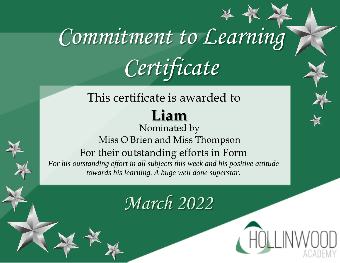### This certificate is awarded to **Liam**

Nominated by Miss O'Brien and Miss Thompson For their outstanding efforts in Form *For his outstanding effort in all subjects this week and his positive attitude towards his learning. A huge well done superstar.*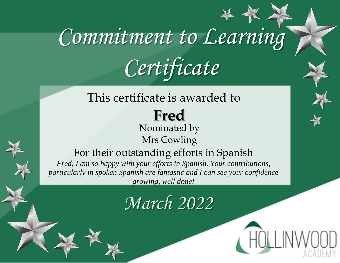### This certificate is awarded to

#### **Fred** Nominated by Mrs Cowling

### For their outstanding efforts in Spanish *Fred, I am so happy with your efforts in Spanish. Your contributions,*

*particularly in spoken Spanish are fantastic and I can see your confidence growing, well done!*

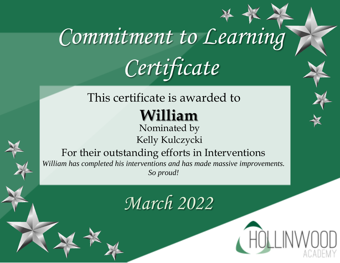### This certificate is awarded to

## **William**

Nominated by Kelly Kulczycki



For their outstanding efforts in Interventions *William has completed his interventions and has made massive improvements. So proud!*

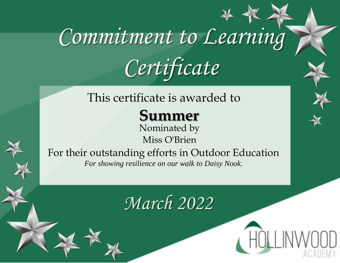### This certificate is awarded to

**Summer** 

Nominated by Miss O'Brien

For their outstanding efforts in Outdoor Education *For showing resilience on our walk to Daisy Nook.*

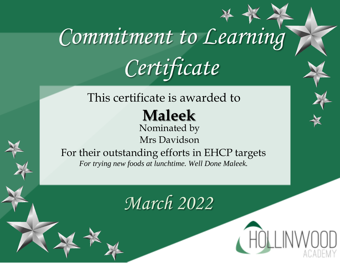#### This certificate is awarded to

## **Maleek**

Nominated by Mrs Davidson

For their outstanding efforts in EHCP targets *For trying new foods at lunchtime. Well Done Maleek.*

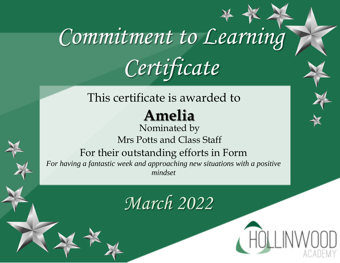### This certificate is awarded to

## **Amelia**

Nominated by Mrs Potts and Class Staff For their outstanding efforts in Form *For having a fantastic week and approaching new situations with a positive mindset*

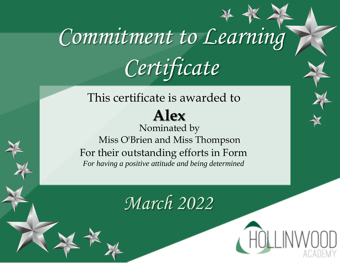This certificate is awarded to

**Alex**  Nominated by Miss O'Brien and Miss Thompson For their outstanding efforts in Form *For having a positive attitude and being determined*

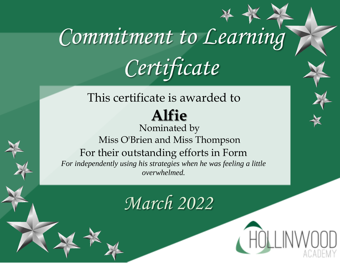### This certificate is awarded to

### **Alfie**

Nominated by Miss O'Brien and Miss Thompson For their outstanding efforts in Form *For independently using his strategies when he was feeling a little overwhelmed.*

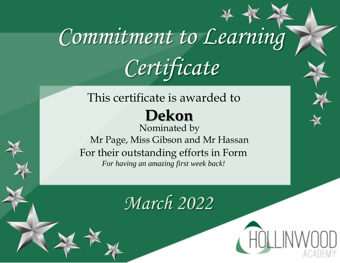### This certificate is awarded to **Dekon**

Nominated by Mr Page, Miss Gibson and Mr Hassan For their outstanding efforts in Form *For having an amazing first week back!*

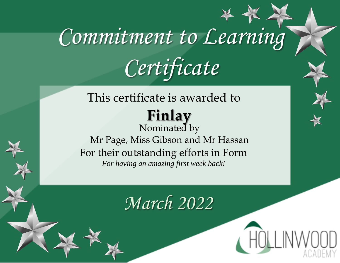### This certificate is awarded to **Finlay**  Nominated by

Mr Page, Miss Gibson and Mr Hassan For their outstanding efforts in Form *For having an amazing first week back!*